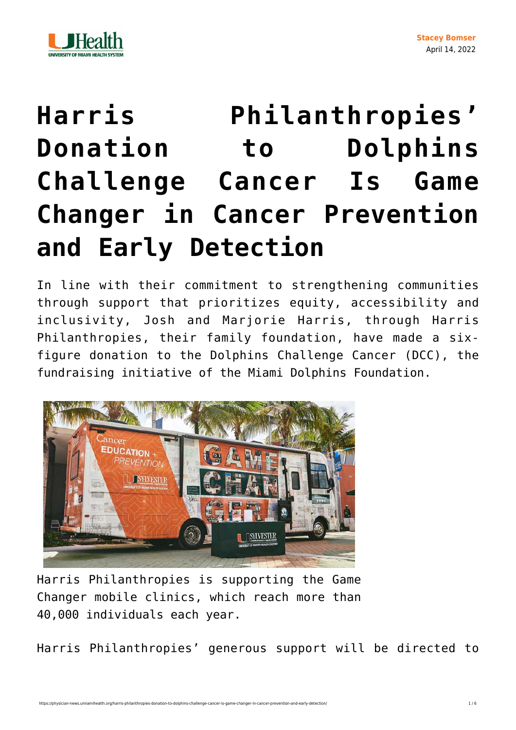

## **[Harris Philanthropies'](https://physician-news.umiamihealth.org/harris-philanthropies-donation-to-dolphins-challenge-cancer-is-game-changer-in-cancer-prevention-and-early-detection/) [Donation to Dolphins](https://physician-news.umiamihealth.org/harris-philanthropies-donation-to-dolphins-challenge-cancer-is-game-changer-in-cancer-prevention-and-early-detection/) [Challenge Cancer Is Game](https://physician-news.umiamihealth.org/harris-philanthropies-donation-to-dolphins-challenge-cancer-is-game-changer-in-cancer-prevention-and-early-detection/) [Changer in Cancer Prevention](https://physician-news.umiamihealth.org/harris-philanthropies-donation-to-dolphins-challenge-cancer-is-game-changer-in-cancer-prevention-and-early-detection/) [and Early Detection](https://physician-news.umiamihealth.org/harris-philanthropies-donation-to-dolphins-challenge-cancer-is-game-changer-in-cancer-prevention-and-early-detection/)**

In line with their commitment to strengthening communities through support that prioritizes equity, accessibility and inclusivity, Josh and Marjorie Harris, through Harris Philanthropies, their family foundation, have made a sixfigure donation to the Dolphins Challenge Cancer (DCC), the fundraising initiative of the Miami Dolphins Foundation.



Harris Philanthropies is supporting the Game Changer mobile clinics, which reach more than 40,000 individuals each year.

Harris Philanthropies' generous support will be directed to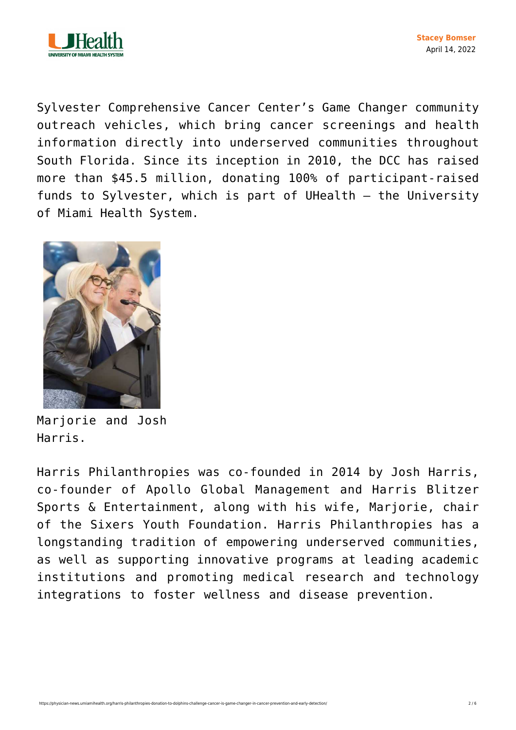

Sylvester Comprehensive Cancer Center's Game Changer community outreach vehicles, which bring cancer screenings and health information directly into underserved communities throughout South Florida. Since its inception in 2010, the DCC has raised more than \$45.5 million, donating 100% of participant-raised funds to Sylvester, which is part of UHealth – the University of Miami Health System.



Marjorie and Josh Harris.

Harris Philanthropies was co-founded in 2014 by Josh Harris, co-founder of Apollo Global Management and Harris Blitzer Sports & Entertainment, along with his wife, Mariorie, chair of the Sixers Youth Foundation. Harris Philanthropies has a longstanding tradition of empowering underserved communities, as well as supporting innovative programs at leading academic institutions and promoting medical research and technology integrations to foster wellness and disease prevention.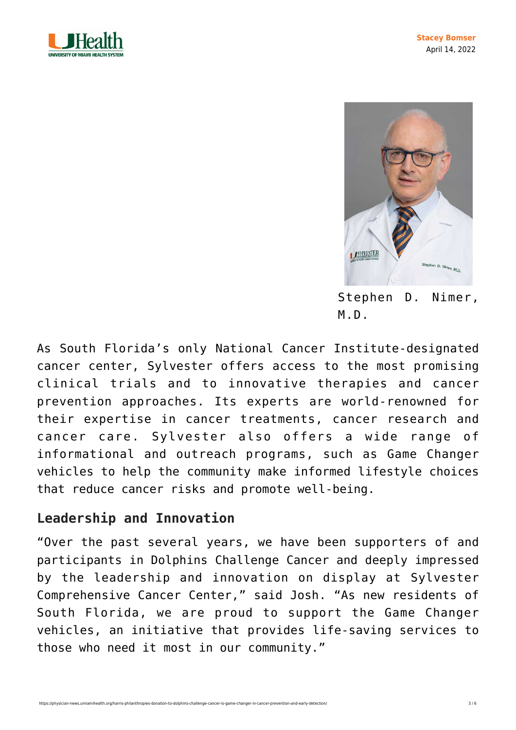



Stephen D. Nimer, M.D.

As South Florida's only National Cancer Institute-designated cancer center, Sylvester offers access to the most promising clinical trials and to innovative therapies and cancer prevention approaches. Its experts are world-renowned for their expertise in cancer treatments, cancer research and cancer care. Sylvester also offers a wide range of informational and outreach programs, such as Game Changer vehicles to help the community make informed lifestyle choices that reduce cancer risks and promote well-being.

## **Leadership and Innovation**

"Over the past several years, we have been supporters of and participants in Dolphins Challenge Cancer and deeply impressed by the leadership and innovation on display at Sylvester Comprehensive Cancer Center," said Josh. "As new residents of South Florida, we are proud to support the Game Changer vehicles, an initiative that provides life-saving services to those who need it most in our community."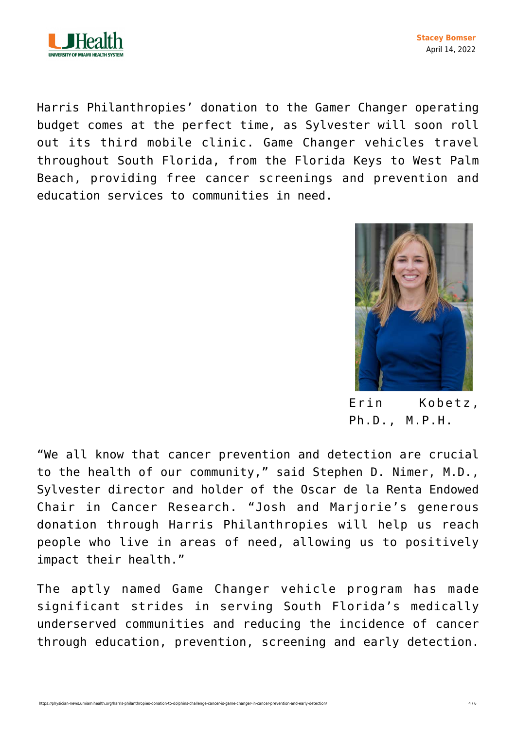

Harris Philanthropies' donation to the Gamer Changer operating budget comes at the perfect time, as Sylvester will soon roll out its third mobile clinic. Game Changer vehicles travel throughout South Florida, from the Florida Keys to West Palm Beach, providing free cancer screenings and prevention and education services to communities in need.



Erin Kobetz, Ph.D., M.P.H.

"We all know that cancer prevention and detection are crucial to the health of our community," said Stephen D. Nimer, M.D., Sylvester director and holder of the Oscar de la Renta Endowed Chair in Cancer Research. "Josh and Marjorie's generous donation through Harris Philanthropies will help us reach people who live in areas of need, allowing us to positively impact their health."

The aptly named Game Changer vehicle program has made significant strides in serving South Florida's medically underserved communities and reducing the incidence of cancer through education, prevention, screening and early detection.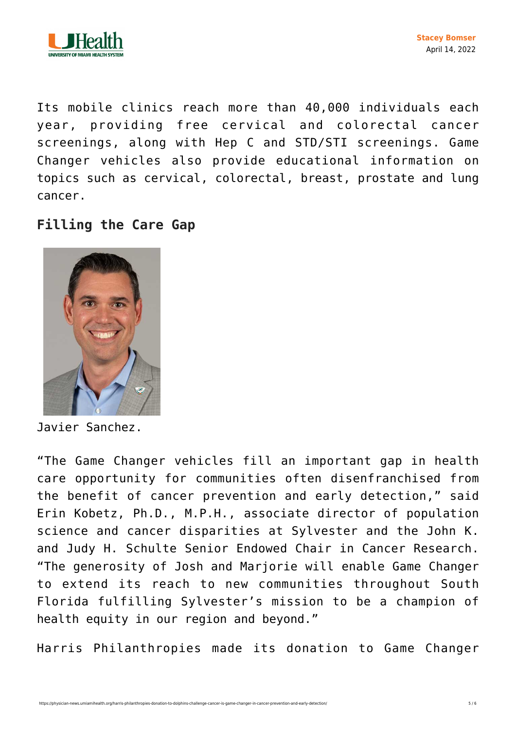

Its mobile clinics reach more than 40,000 individuals each year, providing free cervical and colorectal cancer screenings, along with Hep C and STD/STI screenings. Game Changer vehicles also provide educational information on topics such as cervical, colorectal, breast, prostate and lung cancer.

## **Filling the Care Gap**



Javier Sanchez.

"The Game Changer vehicles fill an important gap in health care opportunity for communities often disenfranchised from the benefit of cancer prevention and early detection," said Erin Kobetz, Ph.D., M.P.H., associate director of population science and cancer disparities at Sylvester and the John K. and Judy H. Schulte Senior Endowed Chair in Cancer Research. "The generosity of Josh and Marjorie will enable Game Changer to extend its reach to new communities throughout South Florida fulfilling Sylvester's mission to be a champion of health equity in our region and beyond."

Harris Philanthropies made its donation to Game Changer